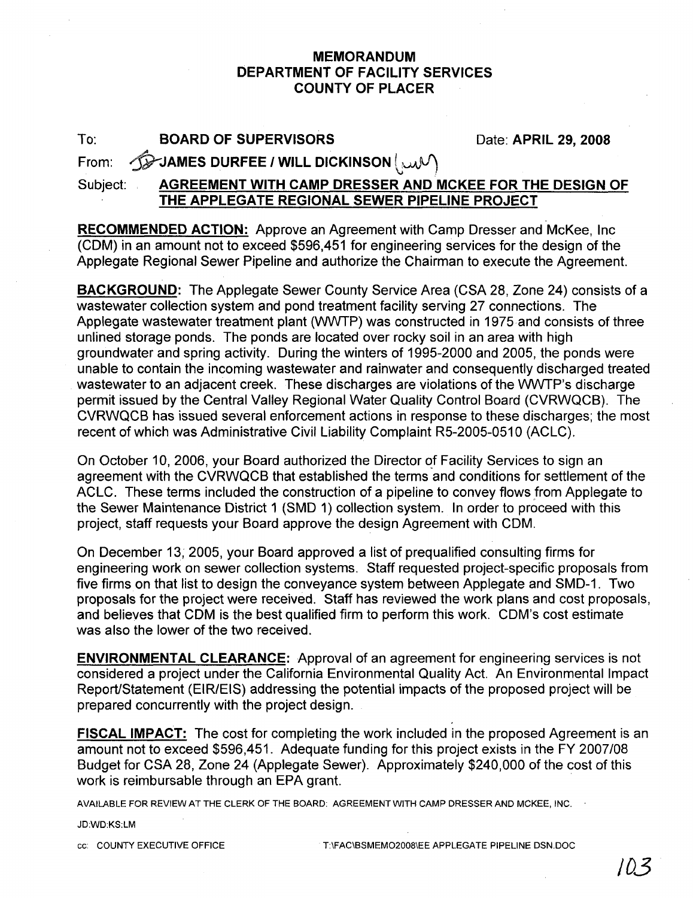## **MEMORANDUM DEPARTMENT OF FACILITY SERVICES COUNTY OF PLACER**

To: **BOARD OF SUPERVISORS** Date: APRIL 29, 2008

From: ~JAMES **DURFEE I WILL DICKINSON** l..uJV)

Subject: **AGREEMENT WITH CAMP DRESSER AND MCKEE FOR THE DESIGN OF THE APPLEGATE REGIONAL SEWER PIPELINE PROJECT**

**RECOMMENDED ACTION:** Approve an Agreement with Camp Dresser and McKee, Inc (COM) in an amount not to exceed \$596,451 for engineering services for the design of the Applegate Regional Sewer Pipeline and authorize the Chairman to execute the Agreement.

**BACKGROUND:** The Applegate Sewer County Service Area (CSA 28, Zone 24) consists of a wastewater collection system and pond treatment facility serving 27 connections. The Applegate wastewater treatment plant (WWTP) was constructed in 1975 and consists of three unlined storage ponds. The ponds are located over rocky soil in an area with high groundwater and spring activity. During the winters of 1995-2000 and 2005, the ponds were unable to contain the incoming wastewater and rainwater and consequently discharged treated wastewater to an adjacent creek. These discharges are violations of the WWTP's discharge permit issued by the Central Valley Regional Water Quality Control Board (CVRWQCB). The CVRWQCB has issued several enforcement actions in response to these discharges; the most recent of which was Administrative Civil Liability Complaint R5-2005-0510 (ACLC).

On October 10, 2006, your Board authorized the Director of Facility Services to sign an agreement with the CVRWQCB that established the terms and conditions for settlement of the ACLC. These terms included the construction of a pipeline to convey flows from Applegate to the Sewer Maintenance District 1 (SMD 1) collection system. In order to proceed with this project, staff requests your Board approve the design Agreement with COM.

On December 13; 2005, your Board approved a list of prequalified consulting firms for engineering work on sewer collection systems. Staff requested project-specific proposals from five firms on that list to design the conveyance system between Applegate and SMD-1. Two proposals for the project were received. Staff has reviewed the work plans and cost proposals, and believes that COM is the best qualified firm to perform this work. COM's cost estimate was also the lower of the two received.

**ENVIRONMENTAL CLEARANCE:** Approval of an agreement for engineering services is not considered a project under the California Environmental Quality Act. An Environmental Impact Report/Statement (EIR/EIS) addressing the potential impacts of the proposed project will be prepared concurrently with the project design.

**FISCAL IMPACT:** The cost for completing the work included in the proposed Agreement is an amount not to exceed \$596,451. Adequate funding for this project exists in the FY 2007/08 Budget for CSA 28, Zone 24 (Applegate Sewer). Approximately \$240,000 of the cost of this work is reimbursable through an EPA grant.

AVAILABLE FOR REVIEW AT THE CLERK OF THE BOARD: AGREEMENT WITH CAMP DRESSER AND MCKEE, INC.

JD:WD:KS:LM